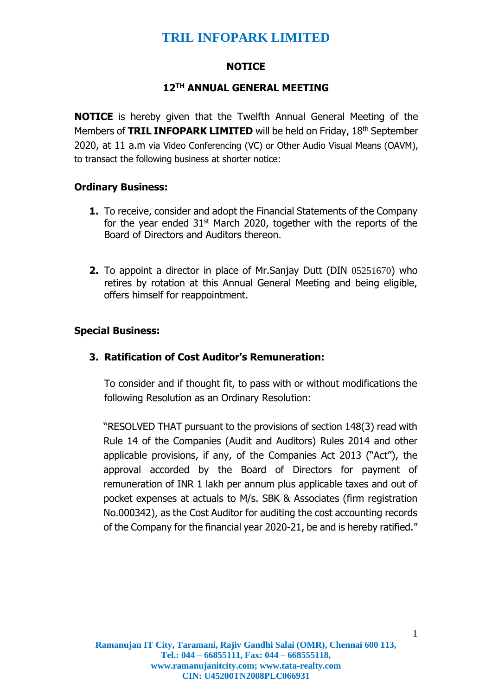### **NOTICE**

### **12 TH ANNUAL GENERAL MEETING**

**NOTICE** is hereby given that the Twelfth Annual General Meeting of the Members of **TRIL INFOPARK LIMITED** will be held on Friday, 18<sup>th</sup> September 2020, at 11 a.m via Video Conferencing (VC) or Other Audio Visual Means (OAVM), to transact the following business at shorter notice:

## **Ordinary Business:**

- **1.** To receive, consider and adopt the Financial Statements of the Company for the year ended  $31<sup>st</sup>$  March 2020, together with the reports of the Board of Directors and Auditors thereon.
- **2.** To appoint a director in place of Mr.Sanjay Dutt (DIN 05251670) who retires by rotation at this Annual General Meeting and being eligible, offers himself for reappointment.

## **Special Business:**

## **3. Ratification of Cost Auditor's Remuneration:**

To consider and if thought fit, to pass with or without modifications the following Resolution as an Ordinary Resolution:

"RESOLVED THAT pursuant to the provisions of section 148(3) read with Rule 14 of the Companies (Audit and Auditors) Rules 2014 and other applicable provisions, if any, of the Companies Act 2013 ("Act"), the approval accorded by the Board of Directors for payment of remuneration of INR 1 lakh per annum plus applicable taxes and out of pocket expenses at actuals to M/s. SBK & Associates (firm registration No.000342), as the Cost Auditor for auditing the cost accounting records of the Company for the financial year 2020-21, be and is hereby ratified."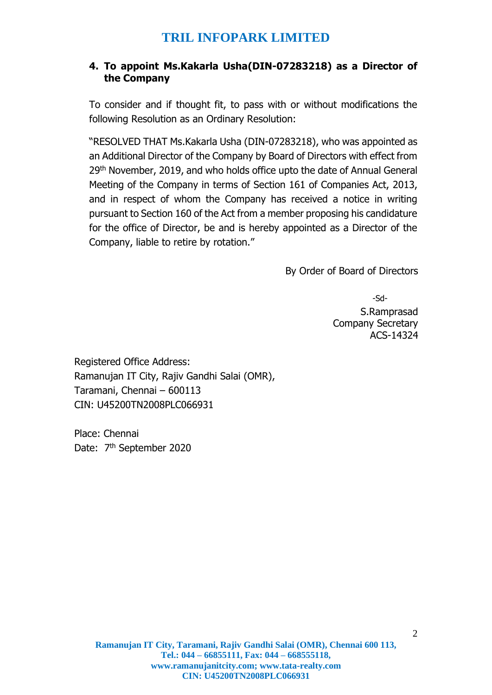### **4. To appoint Ms.Kakarla Usha(DIN-07283218) as a Director of the Company**

To consider and if thought fit, to pass with or without modifications the following Resolution as an Ordinary Resolution:

"RESOLVED THAT Ms.Kakarla Usha (DIN-07283218), who was appointed as an Additional Director of the Company by Board of Directors with effect from 29<sup>th</sup> November, 2019, and who holds office upto the date of Annual General Meeting of the Company in terms of Section 161 of Companies Act, 2013, and in respect of whom the Company has received a notice in writing pursuant to Section 160 of the Act from a member proposing his candidature for the office of Director, be and is hereby appointed as a Director of the Company, liable to retire by rotation."

By Order of Board of Directors

-Sd-S.Ramprasad Company Secretary ACS-14324

Registered Office Address: Ramanujan IT City, Rajiv Gandhi Salai (OMR), Taramani, Chennai – 600113 CIN: U45200TN2008PLC066931

Place: Chennai Date: 7<sup>th</sup> September 2020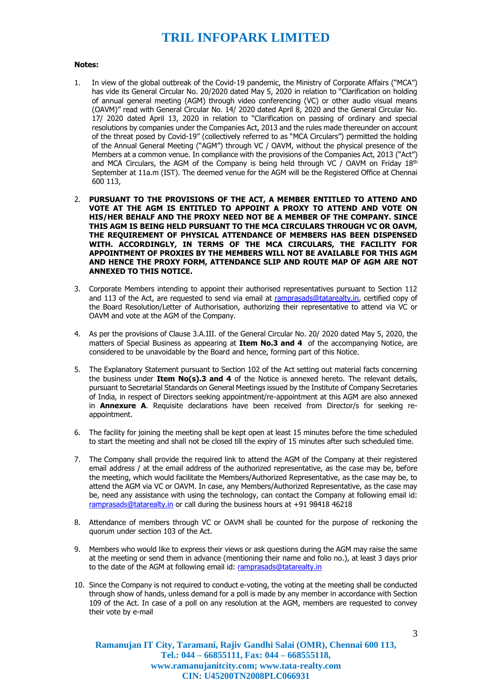#### **Notes:**

- 1. In view of the global outbreak of the Covid-19 pandemic, the Ministry of Corporate Affairs ("MCA") has vide its General Circular No. 20/2020 dated May 5, 2020 in relation to "Clarification on holding of annual general meeting (AGM) through video conferencing (VC) or other audio visual means (OAVM)" read with General Circular No. 14/ 2020 dated April 8, 2020 and the General Circular No. 17/ 2020 dated April 13, 2020 in relation to "Clarification on passing of ordinary and special resolutions by companies under the Companies Act, 2013 and the rules made thereunder on account of the threat posed by Covid-19" (collectively referred to as "MCA Circulars") permitted the holding of the Annual General Meeting ("AGM") through VC / OAVM, without the physical presence of the Members at a common venue. In compliance with the provisions of the Companies Act, 2013 ("Act") and MCA Circulars, the AGM of the Company is being held through VC / OAVM on Friday  $18<sup>th</sup>$ September at 11a.m (IST). The deemed venue for the AGM will be the Registered Office at Chennai 600 113,
- 2. **PURSUANT TO THE PROVISIONS OF THE ACT, A MEMBER ENTITLED TO ATTEND AND VOTE AT THE AGM IS ENTITLED TO APPOINT A PROXY TO ATTEND AND VOTE ON HIS/HER BEHALF AND THE PROXY NEED NOT BE A MEMBER OF THE COMPANY. SINCE THIS AGM IS BEING HELD PURSUANT TO THE MCA CIRCULARS THROUGH VC OR OAVM, THE REQUIREMENT OF PHYSICAL ATTENDANCE OF MEMBERS HAS BEEN DISPENSED WITH. ACCORDINGLY, IN TERMS OF THE MCA CIRCULARS, THE FACILITY FOR APPOINTMENT OF PROXIES BY THE MEMBERS WILL NOT BE AVAILABLE FOR THIS AGM AND HENCE THE PROXY FORM, ATTENDANCE SLIP AND ROUTE MAP OF AGM ARE NOT ANNEXED TO THIS NOTICE.**
- 3. Corporate Members intending to appoint their authorised representatives pursuant to Section 112 and 113 of the Act, are requested to send via email at [ramprasads@tatarealty.in,](mailto:ramprasads@tatarealty.in) certified copy of the Board Resolution/Letter of Authorisation, authorizing their representative to attend via VC or OAVM and vote at the AGM of the Company.
- 4. As per the provisions of Clause 3.A.III. of the General Circular No. 20/ 2020 dated May 5, 2020, the matters of Special Business as appearing at **Item No.3 and 4** of the accompanying Notice, are considered to be unavoidable by the Board and hence, forming part of this Notice.
- 5. The Explanatory Statement pursuant to Section 102 of the Act setting out material facts concerning the business under **Item No(s).3 and 4** of the Notice is annexed hereto. The relevant details, pursuant to Secretarial Standards on General Meetings issued by the Institute of Company Secretaries of India, in respect of Directors seeking appointment/re-appointment at this AGM are also annexed in **Annexure A**. Requisite declarations have been received from Director/s for seeking reappointment.
- 6. The facility for joining the meeting shall be kept open at least 15 minutes before the time scheduled to start the meeting and shall not be closed till the expiry of 15 minutes after such scheduled time.
- 7. The Company shall provide the required link to attend the AGM of the Company at their registered email address / at the email address of the authorized representative, as the case may be, before the meeting, which would facilitate the Members/Authorized Representative, as the case may be, to attend the AGM via VC or OAVM. In case, any Members/Authorized Representative, as the case may be, need any assistance with using the technology, can contact the Company at following email id: [ramprasads@tatarealty.in](mailto:ramprasads@tatarealty.in) or call during the business hours at +91 98418 46218
- 8. Attendance of members through VC or OAVM shall be counted for the purpose of reckoning the quorum under section 103 of the Act.
- 9. Members who would like to express their views or ask questions during the AGM may raise the same at the meeting or send them in advance (mentioning their name and folio no.), at least 3 days prior to the date of the AGM at following email id: [ramprasads@tatarealty.in](mailto:ramprasads@tatarealty.in)
- 10. Since the Company is not required to conduct e-voting, the voting at the meeting shall be conducted through show of hands, unless demand for a poll is made by any member in accordance with Section 109 of the Act. In case of a poll on any resolution at the AGM, members are requested to convey their vote by e-mail

**Ramanujan IT City, Taramani, Rajiv Gandhi Salai (OMR), Chennai 600 113, Tel.: 044 – 66855111, Fax: 044 – 668555118, www.ramanujanitcity.com; www.tata-realty.com CIN: U45200TN2008PLC066931**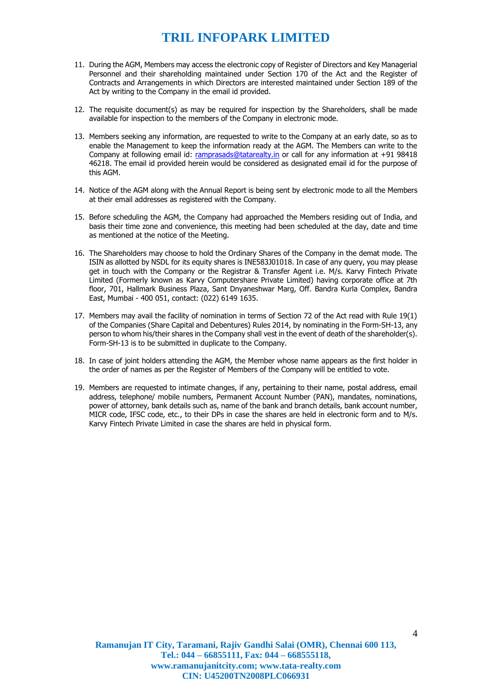- 11. During the AGM, Members may access the electronic copy of Register of Directors and Key Managerial Personnel and their shareholding maintained under Section 170 of the Act and the Register of Contracts and Arrangements in which Directors are interested maintained under Section 189 of the Act by writing to the Company in the email id provided.
- 12. The requisite document(s) as may be required for inspection by the Shareholders, shall be made available for inspection to the members of the Company in electronic mode.
- 13. Members seeking any information, are requested to write to the Company at an early date, so as to enable the Management to keep the information ready at the AGM. The Members can write to the Company at following email id: [ramprasads@tatarealty.in](mailto:ramprasads@tatarealty.in) or call for any information at +91 98418 46218. The email id provided herein would be considered as designated email id for the purpose of this AGM.
- 14. Notice of the AGM along with the Annual Report is being sent by electronic mode to all the Members at their email addresses as registered with the Company.
- 15. Before scheduling the AGM, the Company had approached the Members residing out of India, and basis their time zone and convenience, this meeting had been scheduled at the day, date and time as mentioned at the notice of the Meeting.
- 16. The Shareholders may choose to hold the Ordinary Shares of the Company in the demat mode. The ISIN as allotted by NSDL for its equity shares is INE583J01018. In case of any query, you may please get in touch with the Company or the Registrar & Transfer Agent i.e. M/s. Karvy Fintech Private Limited (Formerly known as Karvy Computershare Private Limited) having corporate office at 7th floor, 701, Hallmark Business Plaza, Sant Dnyaneshwar Marg, Off. Bandra Kurla Complex, Bandra East, Mumbai - 400 051, contact: (022) 6149 1635.
- 17. Members may avail the facility of nomination in terms of Section 72 of the Act read with Rule 19(1) of the Companies (Share Capital and Debentures) Rules 2014, by nominating in the Form-SH-13, any person to whom his/their shares in the Company shall vest in the event of death of the shareholder(s). Form-SH-13 is to be submitted in duplicate to the Company.
- 18. In case of joint holders attending the AGM, the Member whose name appears as the first holder in the order of names as per the Register of Members of the Company will be entitled to vote.
- 19. Members are requested to intimate changes, if any, pertaining to their name, postal address, email address, telephone/ mobile numbers, Permanent Account Number (PAN), mandates, nominations, power of attorney, bank details such as, name of the bank and branch details, bank account number, MICR code, IFSC code, etc., to their DPs in case the shares are held in electronic form and to M/s. Karvy Fintech Private Limited in case the shares are held in physical form.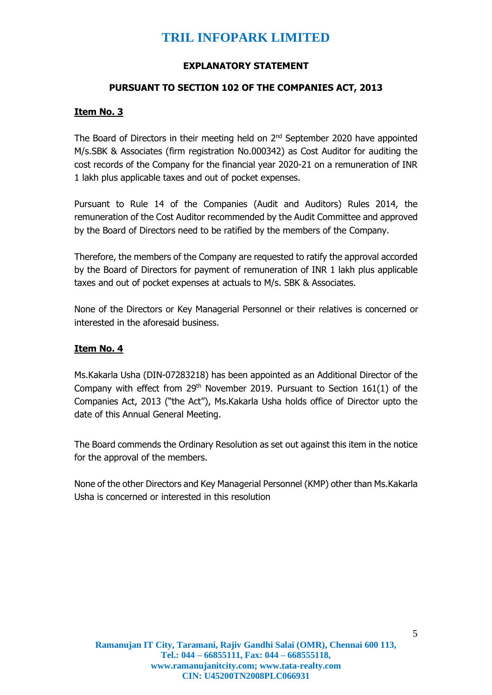#### **EXPLANATORY STATEMENT**

#### **PURSUANT TO SECTION 102 OF THE COMPANIES ACT, 2013**

#### **Item No. 3**

The Board of Directors in their meeting held on  $2<sup>nd</sup>$  September 2020 have appointed M/s.SBK & Associates (firm registration No.000342) as Cost Auditor for auditing the cost records of the Company for the financial year 2020-21 on a remuneration of INR 1 lakh plus applicable taxes and out of pocket expenses.

Pursuant to Rule 14 of the Companies (Audit and Auditors) Rules 2014, the remuneration of the Cost Auditor recommended by the Audit Committee and approved by the Board of Directors need to be ratified by the members of the Company.

Therefore, the members of the Company are requested to ratify the approval accorded by the Board of Directors for payment of remuneration of INR 1 lakh plus applicable taxes and out of pocket expenses at actuals to M/s. SBK & Associates.

None of the Directors or Key Managerial Personnel or their relatives is concerned or interested in the aforesaid business.

#### **Item No. 4**

Ms.Kakarla Usha (DIN-07283218) has been appointed as an Additional Director of the Company with effect from  $29<sup>th</sup>$  November 2019. Pursuant to Section 161(1) of the Companies Act, 2013 ("the Act"), Ms.Kakarla Usha holds office of Director upto the date of this Annual General Meeting.

The Board commends the Ordinary Resolution as set out against this item in the notice for the approval of the members.

None of the other Directors and Key Managerial Personnel (KMP) other than Ms.Kakarla Usha is concerned or interested in this resolution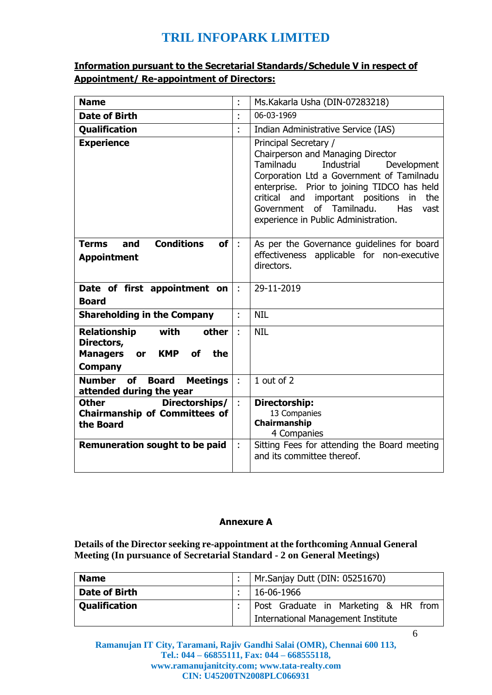## **Information pursuant to the Secretarial Standards/Schedule V in respect of Appointment/ Re-appointment of Directors:**

| <b>Name</b>                                                                                                              | t                       | Ms.Kakarla Usha (DIN-07283218)                                                                                                                                                                                                                                                                                                                |
|--------------------------------------------------------------------------------------------------------------------------|-------------------------|-----------------------------------------------------------------------------------------------------------------------------------------------------------------------------------------------------------------------------------------------------------------------------------------------------------------------------------------------|
| <b>Date of Birth</b>                                                                                                     | $\blacksquare$          | 06-03-1969                                                                                                                                                                                                                                                                                                                                    |
| <b>Qualification</b>                                                                                                     | $\blacksquare$          | Indian Administrative Service (IAS)                                                                                                                                                                                                                                                                                                           |
| <b>Experience</b>                                                                                                        |                         | Principal Secretary /<br>Chairperson and Managing Director<br>Tamilnadu<br>Industrial<br>Development<br>Corporation Ltd a Government of Tamilnadu<br>enterprise. Prior to joining TIDCO has held<br>important positions<br>critical<br>and<br>in<br>the<br>of Tamilnadu.<br>Has<br>Government<br>vast<br>experience in Public Administration. |
| <b>Conditions</b><br>and<br><b>of</b><br><b>Terms</b><br><b>Appointment</b>                                              | $\overline{\mathbb{R}}$ | As per the Governance guidelines for board<br>effectiveness applicable for non-executive<br>directors.                                                                                                                                                                                                                                        |
| Date of first appointment on<br><b>Board</b>                                                                             | $\ddot{\phantom{a}}$    | 29-11-2019                                                                                                                                                                                                                                                                                                                                    |
| <b>Shareholding in the Company</b>                                                                                       | t                       | <b>NIL</b>                                                                                                                                                                                                                                                                                                                                    |
| with<br>Relationship<br>other<br>Directors,<br><b>Managers</b><br><b>KMP</b><br><b>of</b><br>the<br>or<br><b>Company</b> |                         | <b>NIL</b>                                                                                                                                                                                                                                                                                                                                    |
| <b>Number</b><br>of<br><b>Board</b><br><b>Meetings</b><br>attended during the year                                       | ÷                       | 1 out of 2                                                                                                                                                                                                                                                                                                                                    |
| Directorships/<br><b>Other</b><br><b>Chairmanship of Committees of</b><br>the Board                                      | $\ddot{\phantom{a}}$    | Directorship:<br>13 Companies<br>Chairmanship<br>4 Companies                                                                                                                                                                                                                                                                                  |
| Remuneration sought to be paid                                                                                           |                         | Sitting Fees for attending the Board meeting<br>and its committee thereof.                                                                                                                                                                                                                                                                    |

#### **Annexure A**

**Details of the Director seeking re-appointment at the forthcoming Annual General Meeting (In pursuance of Secretarial Standard - 2 on General Meetings)**

| <b>Name</b>          | :   Mr. Sanjay Dutt (DIN: $05251670$ )    |
|----------------------|-------------------------------------------|
| <b>Date of Birth</b> | $: 16-06-1966$                            |
| <b>Qualification</b> | :   Post Graduate in Marketing & HR from  |
|                      | <b>International Management Institute</b> |

6